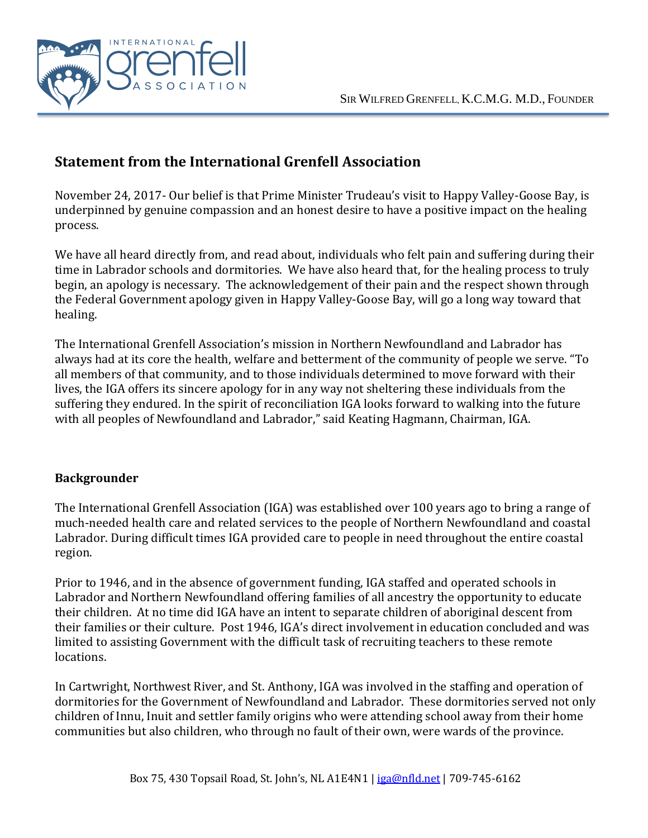

## **Statement from the International Grenfell Association**

November 24, 2017- Our belief is that Prime Minister Trudeau's visit to Happy Valley-Goose Bay, is underpinned by genuine compassion and an honest desire to have a positive impact on the healing process.

We have all heard directly from, and read about, individuals who felt pain and suffering during their time in Labrador schools and dormitories. We have also heard that, for the healing process to truly begin, an apology is necessary. The acknowledgement of their pain and the respect shown through the Federal Government apology given in Happy Valley-Goose Bay, will go a long way toward that healing.

The International Grenfell Association's mission in Northern Newfoundland and Labrador has always had at its core the health, welfare and betterment of the community of people we serve. "To all members of that community, and to those individuals determined to move forward with their lives, the IGA offers its sincere apology for in any way not sheltering these individuals from the suffering they endured. In the spirit of reconciliation IGA looks forward to walking into the future with all peoples of Newfoundland and Labrador," said Keating Hagmann, Chairman, IGA.

## **Backgrounder**

The International Grenfell Association (IGA) was established over 100 years ago to bring a range of much-needed health care and related services to the people of Northern Newfoundland and coastal Labrador. During difficult times IGA provided care to people in need throughout the entire coastal region.

Prior to 1946, and in the absence of government funding, IGA staffed and operated schools in Labrador and Northern Newfoundland offering families of all ancestry the opportunity to educate their children. At no time did IGA have an intent to separate children of aboriginal descent from their families or their culture. Post 1946, IGA's direct involvement in education concluded and was limited to assisting Government with the difficult task of recruiting teachers to these remote locations.

In Cartwright, Northwest River, and St. Anthony, IGA was involved in the staffing and operation of dormitories for the Government of Newfoundland and Labrador. These dormitories served not only children of Innu, Inuit and settler family origins who were attending school away from their home communities but also children, who through no fault of their own, were wards of the province.